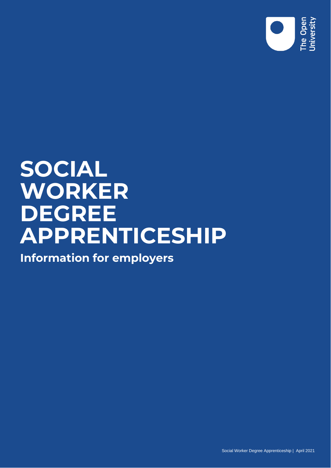

# **SOCIAL WORKER DEGREE APPRENTICESHIP**

**Information for employers**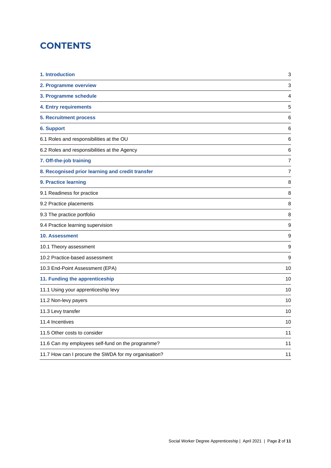# **CONTENTS**

| 1. Introduction                                      | 3                |
|------------------------------------------------------|------------------|
| 2. Programme overview                                | 3                |
| 3. Programme schedule                                | 4                |
| <b>4. Entry requirements</b>                         | 5                |
| <b>5. Recruitment process</b>                        | 6                |
| <b>6. Support</b>                                    | 6                |
| 6.1 Roles and responsibilities at the OU             | 6                |
| 6.2 Roles and responsibilities at the Agency         | 6                |
| 7. Off-the-job training                              | 7                |
| 8. Recognised prior learning and credit transfer     | $\overline{7}$   |
| 9. Practice learning                                 | 8                |
| 9.1 Readiness for practice                           | 8                |
| 9.2 Practice placements                              | 8                |
| 9.3 The practice portfolio                           | 8                |
| 9.4 Practice learning supervision                    | $\boldsymbol{9}$ |
| <b>10. Assessment</b>                                | 9                |
| 10.1 Theory assessment                               | 9                |
| 10.2 Practice-based assessment                       | 9                |
| 10.3 End-Point Assessment (EPA)                      | 10               |
| 11. Funding the apprenticeship                       | 10               |
| 11.1 Using your apprenticeship levy                  | 10               |
| 11.2 Non-levy payers                                 | 10               |
| 11.3 Levy transfer                                   | 10               |
| 11.4 Incentives                                      | 10               |
| 11.5 Other costs to consider                         | 11               |
| 11.6 Can my employees self-fund on the programme?    | 11               |
| 11.7 How can I procure the SWDA for my organisation? | 11               |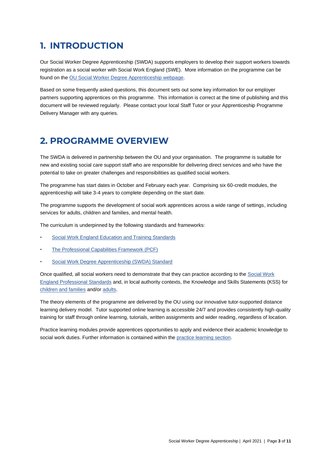# **1. INTRODUCTION**

Our Social Worker Degree Apprenticeship (SWDA) supports employers to develop their support workers towards registration as a social worker with Social Work England (SWE). More information on the programme can be found on the OU Social Worker [Degree Apprenticeship](http://www.open.ac.uk/business/apprenticeships/degree-and-higher/social-worker-degree-apprenticeship) webpage.

Based on some frequently asked questions, this document sets out some key information for our employer partners supporting apprentices on this programme. This information is correct at the time of publishing and this document will be reviewed regularly. Please contact your local Staff Tutor or your Apprenticeship Programme Delivery Manager with any queries.

## **2. PROGRAMME OVERVIEW**

The SWDA is delivered in partnership between the OU and your organisation. The programme is suitable for new and existing social care support staff who are responsible for delivering direct services and who have the potential to take on greater challenges and responsibilities as qualified social workers.

The programme has start dates in October and February each year. Comprising six 60-credit modules, the apprenticeship will take 3-4 years to complete depending on the start date.

The programme supports the development of social work apprentices across a wide range of settings, including services for adults, children and families, and mental health.

The curriculum is underpinned by the following standards and frameworks:

- [Social Work England Education and Training Standards](https://www.socialworkengland.org.uk/standards/education-and-training-standards/)
- [The Professional Capabilities Framework \(PCF\)](https://www.basw.co.uk/social-work-training/professional-capabilities-framework-pcf)
- Social Work Degree Apprenticeship (SWDA) Standard

Once qualified, all social workers need to demonstrate that they can practice according to the Social Work [England Professional Standards](https://www.socialworkengland.org.uk/standards/professional-standards/) and, in local authority contexts, the Knowledge and Skills Statements (KSS) for [children and families](https://assets.publishing.service.gov.uk/government/uploads/system/uploads/attachment_data/file/708704/Post-qualifying_standard-KSS_for_child_and_family_practitioners.pdf) and/o[r adults.](https://assets.publishing.service.gov.uk/government/uploads/system/uploads/attachment_data/file/411957/KSS.pdf)

The theory elements of the programme are delivered by the OU using our innovative tutor-supported distance learning delivery model. Tutor supported online learning is accessible 24/7 and provides consistently high-quality training for staff through online learning, tutorials, written assignments and wider reading, regardless of location.

Practice learning modules provide apprentices opportunities to apply and evidence their academic knowledge to social work duties. Further information is contained within the [practice learning section.](#page-7-0)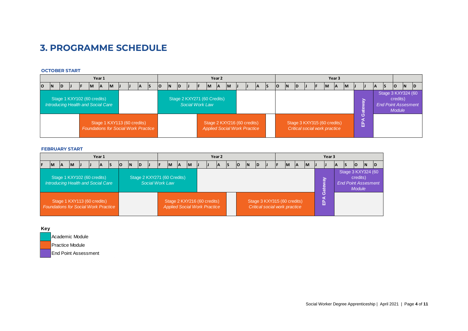# **3. PROGRAMME SCHEDULE**

#### **OCTOBER START**

| Year 1                                                                     |              |     |   |  |          |           |              |  |  |                                                       |     |                                                          | Year 2 |  |  |  |                                                                    |  |  |  |  |     |  |     | Year 3         |                                                              |  |  |              |           |              |                                                                               |   |    |     |    |              |           |  |
|----------------------------------------------------------------------------|--------------|-----|---|--|----------|-----------|--------------|--|--|-------------------------------------------------------|-----|----------------------------------------------------------|--------|--|--|--|--------------------------------------------------------------------|--|--|--|--|-----|--|-----|----------------|--------------------------------------------------------------|--|--|--------------|-----------|--------------|-------------------------------------------------------------------------------|---|----|-----|----|--------------|-----------|--|
| O                                                                          | $\mathsf{N}$ | ID. | Ш |  | <b>M</b> | <b>IA</b> | $\mathsf{M}$ |  |  | <b>IA</b>                                             | IS. | M<br>$\mathsf{M}$<br>IN.<br>lo<br><b>ID</b><br>$\Lambda$ |        |  |  |  |                                                                    |  |  |  |  | IA. |  | lO. | $\overline{N}$ | <b>ID</b>                                                    |  |  | $\mathsf{M}$ | <b>IA</b> | $\mathsf{M}$ | --                                                                            | Ш | ΙA | IS. | lo | $\mathsf{N}$ | <b>ID</b> |  |
| Stage 1 KXY102 (60 credits)<br>Introducing Health and Social Care          |              |     |   |  |          |           |              |  |  | Stage 2 KXY271 (60 Credits)<br><b>Social Work Law</b> |     |                                                          |        |  |  |  |                                                                    |  |  |  |  |     |  |     |                |                                                              |  |  |              |           |              | Stage 3 KXY324 (60<br>credits)<br><b>End Point Assesment</b><br><b>Module</b> |   |    |     |    |              |           |  |
| Stage 1 KXY113 (60 credits)<br><b>Foundations for Social Work Practice</b> |              |     |   |  |          |           |              |  |  |                                                       |     |                                                          |        |  |  |  | Stage 2 KXY216 (60 credits)<br><b>Applied Social Work Practice</b> |  |  |  |  |     |  |     |                | Stage 3 KXY315 (60 credits)<br>Critical social work practice |  |  |              |           | 啙            |                                                                               |   |    |     |    |              |           |  |

#### **FEBRUARY START**

| Year 1                                                                                                                     |           |           |  |           |  |  |    |    |    |     |           |  |  | Year <sub>2</sub>                                                  |     |           |  |  |    |    |  |    |           |                                                              | Year 3 |  |           |                     |          |  |                                                                               |    |    |           |     |  |  |
|----------------------------------------------------------------------------------------------------------------------------|-----------|-----------|--|-----------|--|--|----|----|----|-----|-----------|--|--|--------------------------------------------------------------------|-----|-----------|--|--|----|----|--|----|-----------|--------------------------------------------------------------|--------|--|-----------|---------------------|----------|--|-------------------------------------------------------------------------------|----|----|-----------|-----|--|--|
|                                                                                                                            | <b>IM</b> | <b>IA</b> |  | <b>IM</b> |  |  | ΙA | IS | lo | IN. | <b>ID</b> |  |  | <b>IM</b>                                                          | -lA | <b>IM</b> |  |  | IΑ | IS |  | lo | <b>IN</b> | <b>ID</b>                                                    |        |  | <b>IM</b> | ΙA                  | <b>M</b> |  |                                                                               | ΙA | IS | <b>lo</b> | ΙN. |  |  |
| Stage 1 KXY102 (60 credits)<br>Stage 2 KXY271 (60 Credits)<br>Introducing Health and Social Care<br><b>Social Work Law</b> |           |           |  |           |  |  |    |    |    |     |           |  |  |                                                                    |     |           |  |  |    |    |  |    |           |                                                              |        |  |           | $\mathbf{g}$<br>ate |          |  | Stage 3 KXY324 (60<br>credits)<br><b>End Point Assesment</b><br><b>Module</b> |    |    |           |     |  |  |
| Stage 1 KXY113 (60 credits)<br><b>Foundations for Social Work Practice</b>                                                 |           |           |  |           |  |  |    |    |    |     |           |  |  | Stage 2 KXY216 (60 credits)<br><b>Applied Social Work Practice</b> |     |           |  |  |    |    |  |    |           | Stage 3 KXY315 (60 credits)<br>Critical social work practice |        |  |           |                     |          |  | ပ<br>a<br>윤                                                                   |    |    |           |     |  |  |



Social Worker Degree Apprenticeship | April 2021 | Page **4** of **11**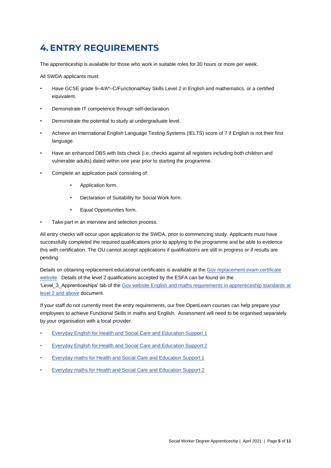# **4.ENTRY REQUIREMENTS**

The apprenticeship is available for those who work in suitable roles for 30 hours or more per week.

All SWDA applicants must:

- Have GCSE grade 9–4/A\*–C/Functional/Key Skills Level 2 in English and mathematics, or a certified equivalent.
- Demonstrate IT competence through self-declaration.
- Demonstrate the potential to study at undergraduate level.
- Achieve an International English Language Testing Systems (IELTS) score of 7 if English is not their first language.
- Have an enhanced DBS with lists check (i.e. checks against all registers including both children and vulnerable adults) dated within one year prior to starting the programme.
- Complete an application pack consisting of:
	- Application form.
	- Declaration of Suitability for Social Work form.
	- Equal Opportunities form.
- Take part in an interview and selection process.

All entry checks will occur upon application to the SWDA, prior to commencing study. Applicants must have successfully completed the required qualifications prior to applying to the programme and be able to evidence this with certification. The OU cannot accept applications if qualifications are still in progress or if results are pending.

Details on obtaining replacement educational certificates is available at the Gov replacement exam certificate [website.](https://www.gov.uk/replacement-exam-certificate) Details of the level 2 qualifications accepted by the ESFA can be found on the 'Level\_3\_Apprenticeships' tab of the [Gov website English and maths requirements in apprenticeship standards at](https://www.gov.uk/government/publications/english-and-maths-requirements-in-apprenticeship-standards-at-level-2-and-above)  [level 2 and above](https://www.gov.uk/government/publications/english-and-maths-requirements-in-apprenticeship-standards-at-level-2-and-above) document.

If your staff do not currently meet the entry requirements, our free OpenLearn courses can help prepare your employees to achieve Functional Skills in maths and English. Assessment will need to be organised separately by your organisation with a local provider.

- **[Everyday English for Health and Social Care and Education Support 1](https://www.open.edu/openlearn/languages/everyday-english-health-and-social-care-and-education-support-1/content-section-overview?active-tab=description-tab)**
- [Everyday English for Health and Social Care and Education Support 2](https://www.open.edu/openlearn/languages/everyday-english-health-and-social-care-and-education-support-2/content-section-overview?active-tab=description-tab)
- **[Everyday maths for Health and Social Care and Education Support 1](https://www.open.edu/openlearn/science-maths-technology/everyday-maths-health-and-social-care-and-education-support-1/content-section-overview?active-tab=description-tab)**
- [Everyday maths for Health and Social Care and Education Support 2](https://www.open.edu/openlearn/science-maths-technology/everyday-maths-health-and-social-care-and-education-support-2/content-section-overview?active-tab=description-tab)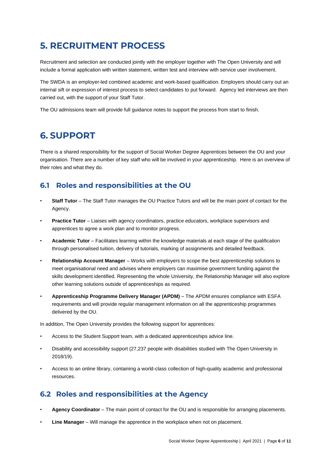# **5. RECRUITMENT PROCESS**

Recruitment and selection are conducted jointly with the employer together with The Open University and will include a formal application with written statement, written test and interview with service user involvement.

The SWDA is an employer-led combined academic and work-based qualification. Employers should carry out an internal sift or expression of interest process to select candidates to put forward. Agency led interviews are then carried out, with the support of your Staff Tutor.

The OU admissions team will provide full guidance notes to support the process from start to finish.

# **6. SUPPORT**

There is a shared responsibility for the support of Social Worker Degree Apprentices between the OU and your organisation. There are a number of key staff who will be involved in your apprenticeship. Here is an overview of their roles and what they do.

## **6.1 Roles and responsibilities at the OU**

- **Staff Tutor**  The Staff Tutor manages the OU Practice Tutors and will be the main point of contact for the Agency.
- **Practice Tutor**  Liaises with agency coordinators, practice educators, workplace supervisors and apprentices to agree a work plan and to monitor progress.
- **Academic Tutor**  Facilitates learning within the knowledge materials at each stage of the qualification through personalised tuition, delivery of tutorials, marking of assignments and detailed feedback.
- **Relationship Account Manager**  Works with employers to scope the best apprenticeship solutions to meet organisational need and advises where employers can maximise government funding against the skills development identified. Representing the whole University, the Relationship Manager will also explore other learning solutions outside of apprenticeships as required.
- **Apprenticeship Programme Delivery Manager (APDM)**  The APDM ensures compliance with ESFA requirements and will provide regular management information on all the apprenticeship programmes delivered by the OU.

In addition, The Open University provides the following support for apprentices:

- Access to the Student Support team, with a dedicated apprenticeships advice line.
- Disability and accessibility support (27,237 people with disabilities studied with The Open University in 2018/19).
- Access to an online library, containing a world-class collection of high-quality academic and professional resources.

## **6.2 Roles and responsibilities at the Agency**

- **Agency Coordinator** The main point of contact for the OU and is responsible for arranging placements.
- **Line Manager** Will manage the apprentice in the workplace when not on placement.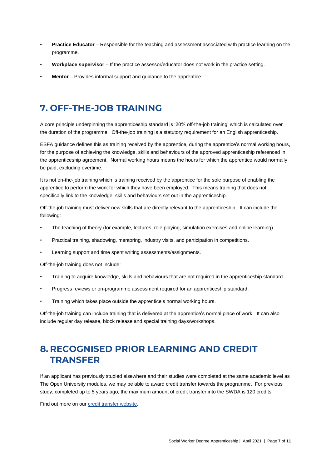- **Practice Educator** Responsible for the teaching and assessment associated with practice learning on the programme.
- **Workplace supervisor** If the practice assessor/educator does not work in the practice setting.
- **Mentor** Provides informal support and guidance to the apprentice.

# **7. OFF-THE-JOB TRAINING**

A core principle underpinning the apprenticeship standard is '20% off-the-job training' which is calculated over the duration of the programme. Off-the-job training is a statutory requirement for an English apprenticeship.

ESFA guidance defines this as training received by the apprentice, during the apprentice's normal working hours, for the purpose of achieving the knowledge, skills and behaviours of the approved apprenticeship referenced in the apprenticeship agreement. Normal working hours means the hours for which the apprentice would normally be paid, excluding overtime.

It is not on-the-job training which is training received by the apprentice for the sole purpose of enabling the apprentice to perform the work for which they have been employed. This means training that does not specifically link to the knowledge, skills and behaviours set out in the apprenticeship.

Off-the-job training must deliver new skills that are directly relevant to the apprenticeship. It can include the following:

- The teaching of theory (for example, lectures, role playing, simulation exercises and online learning).
- Practical training, shadowing, mentoring, industry visits, and participation in competitions.
- Learning support and time spent writing assessments/assignments.

Off-the-job training does not include:

- Training to acquire knowledge, skills and behaviours that are not required in the apprenticeship standard.
- Progress reviews or on-programme assessment required for an apprenticeship standard.
- Training which takes place outside the apprentice's normal working hours.

Off-the-job training can include training that is delivered at the apprentice's normal place of work. It can also include regular day release, block release and special training days/workshops.

# **8. RECOGNISED PRIOR LEARNING AND CREDIT TRANSFER**

If an applicant has previously studied elsewhere and their studies were completed at the same academic level as The Open University modules, we may be able to award credit transfer towards the programme. For previous study, completed up to 5 years ago, the maximum amount of credit transfer into the SWDA is 120 credits.

Find out more on our [credit transfer website.](http://www.open.ac.uk/courses/apply/credit-transfer)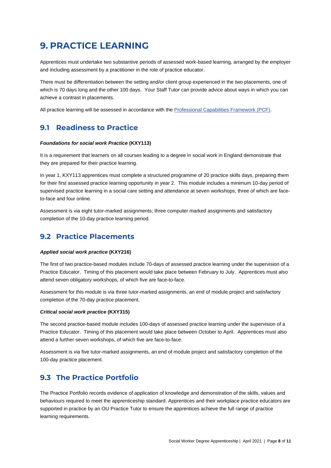# <span id="page-7-0"></span>**9. PRACTICE LEARNING**

Apprentices must undertake two substantive periods of assessed work-based learning, arranged by the employer and including assessment by a practitioner in the role of practice educator.

There must be differentiation between the setting and/or client group experienced in the two placements, one of which is 70 days long and the other 100 days. Your Staff Tutor can provide advice about ways in which you can achieve a contrast in placements.

All practice learning will be assessed in accordance with the [Professional Capabilities Framework \(PCF\).](https://www.basw.co.uk/social-work-training/professional-capabilities-framework-pcf)

## **9.1 Readiness to Practice**

#### *Foundations for social work Practice* **(KXY113)**

It is a requirement that learners on all courses leading to a degree in social work in England demonstrate that they are prepared for their practice learning.

In year 1, KXY113 apprentices must complete a structured programme of 20 practice skills days, preparing them for their first assessed practice learning opportunity in year 2. This module includes a minimum 10-day period of supervised practice learning in a social care setting and attendance at seven workshops, three of which are faceto-face and four online.

Assessment is via eight tutor-marked assignments; three computer marked assignments and satisfactory completion of the 10-day practice learning period.

## **9.2 Practice Placements**

#### *Applied social work practice* **(KXY216)**

The first of two practice-based modules include 70-days of assessed practice learning under the supervision of a Practice Educator. Timing of this placement would take place between February to July. Apprentices must also attend seven obligatory workshops, of which five are face-to-face.

Assessment for this module is via three tutor-marked assignments, an end of module project and satisfactory completion of the 70-day practice placement.

#### *Critical social work practice* **(KXY315)**

The second practice-based module includes 100-days of assessed practice learning under the supervision of a Practice Educator. Timing of this placement would take place between October to April. Apprentices must also attend a further seven workshops, of which five are face-to-face.

Assessment is via five tutor-marked assignments, an end of module project and satisfactory completion of the 100-day practice placement.

### **9.3 The Practice Portfolio**

The Practice Portfolio records evidence of application of knowledge and demonstration of the skills, values and behaviours required to meet the apprenticeship standard. Apprentices and their workplace practice educators are supported in practice by an OU Practice Tutor to ensure the apprentices achieve the full range of practice learning requirements.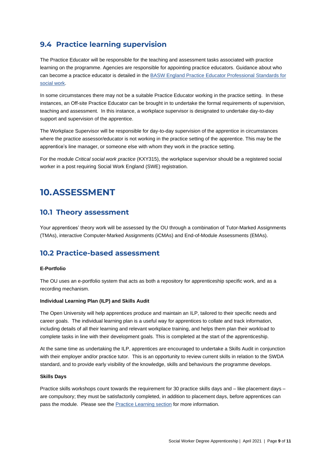## **9.4 Practice learning supervision**

The Practice Educator will be responsible for the teaching and assessment tasks associated with practice learning on the programme. Agencies are responsible for appointing practice educators. Guidance about who can become a practice educator is detailed in the BASW England Practice Educator Professional Standards for [social work.](https://www.basw.co.uk/resources/basw-england-practice-educator-professional-standards-social-work-peps-2020)

In some circumstances there may not be a suitable Practice Educator working in the practice setting. In these instances, an Off-site Practice Educator can be brought in to undertake the formal requirements of supervision, teaching and assessment. In this instance, a workplace supervisor is designated to undertake day-to-day support and supervision of the apprentice.

The Workplace Supervisor will be responsible for day-to-day supervision of the apprentice in circumstances where the practice assessor/educator is not working in the practice setting of the apprentice. This may be the apprentice's line manager, or someone else with whom they work in the practice setting.

For the module *Critical social work practice* (KXY315), the workplace supervisor should be a registered social worker in a post requiring Social Work England (SWE) registration.

# **10.ASSESSMENT**

#### **10.1 Theory assessment**

Your apprentices' theory work will be assessed by the OU through a combination of Tutor-Marked Assignments (TMAs), interactive Computer-Marked Assignments (iCMAs) and End-of-Module Assessments (EMAs).

### **10.2 Practice-based assessment**

#### **E-Portfolio**

The OU uses an e-portfolio system that acts as both a repository for apprenticeship specific work, and as a recording mechanism.

#### **Individual Learning Plan (ILP) and Skills Audit**

The Open University will help apprentices produce and maintain an ILP, tailored to their specific needs and career goals. The individual learning plan is a useful way for apprentices to collate and track information, including details of all their learning and relevant workplace training, and helps them plan their workload to complete tasks in line with their development goals. This is completed at the start of the apprenticeship.

At the same time as undertaking the ILP, apprentices are encouraged to undertake a Skills Audit in conjunction with their employer and/or practice tutor. This is an opportunity to review current skills in relation to the SWDA standard, and to provide early visibility of the knowledge, skills and behaviours the programme develops.

#### **Skills Days**

Practice skills workshops count towards the requirement for 30 practice skills days and – like placement days – are compulsory; they must be satisfactorily completed, in addition to placement days, before apprentices can pass the module. Please see the [Practice Learning section](#page-7-0) for more information.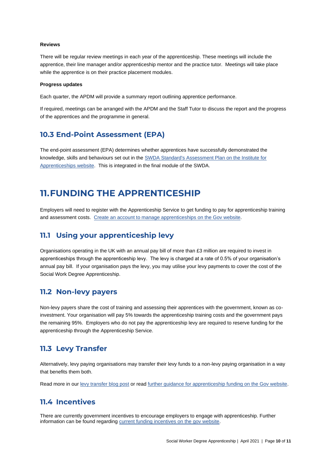#### **Reviews**

There will be regular review meetings in each year of the apprenticeship. These meetings will include the apprentice, their line manager and/or apprenticeship mentor and the practice tutor. Meetings will take place while the apprentice is on their practice placement modules.

#### **Progress updates**

Each quarter, the APDM will provide a summary report outlining apprentice performance.

If required, meetings can be arranged with the APDM and the Staff Tutor to discuss the report and the progress of the apprentices and the programme in general.

#### **10.3 End-Point Assessment (EPA)**

The end-point assessment (EPA) determines whether apprentices have successfully demonstrated the knowledge, skills and behaviours set out in the [SWDA Standard's Assessment Plan](https://www.instituteforapprenticeships.org/apprenticeship-standards/social-worker-degree/) on the Institute for [Apprenticeships website.](https://www.instituteforapprenticeships.org/apprenticeship-standards/social-worker-degree/) This is integrated in the final module of the SWDA.

## **11.FUNDING THE APPRENTICESHIP**

Employers will need to register with the Apprenticeship Service to get funding to pay for apprenticeship training and assessment costs. [Create an account to manage apprenticeships](https://accounts.manage-apprenticeships.service.gov.uk/service/index?) on the Gov website.

#### **11.1 Using your apprenticeship levy**

Organisations operating in the UK with an annual pay bill of more than £3 million are required to invest in apprenticeships through the apprenticeship levy. The levy is charged at a rate of 0.5% of your organisation's annual pay bill. If your organisation pays the levy, you may utilise your levy payments to cover the cost of the Social Work Degree Apprenticeship.

#### **11.2 Non-levy payers**

Non-levy payers share the cost of training and assessing their apprentices with the government, known as coinvestment. Your organisation will pay 5% towards the apprenticeship training costs and the government pays the remaining 95%. Employers who do not pay the apprenticeship levy are required to reserve funding for the apprenticeship through the Apprenticeship Service.

#### **11.3 Levy Transfer**

Alternatively, levy paying organisations may transfer their levy funds to a non-levy paying organisation in a way that benefits them both.

Read more in our [levy transfer blog post](http://www.open.ac.uk/business/apprenticeships/blog/levy-transfer) or rea[d further guidance for apprenticeship funding on the Gov website.](https://www.gov.uk/government/publications/apprenticeship-levy-how-it-will-work/apprenticeship-levy-how-it-will-work)

#### **11.4 Incentives**

There are currently government incentives to encourage employers to engage with apprenticeship. Further information can be found regarding current funding [incentives on the gov website.](https://www.gov.uk/employing-an-apprentice/get-funding)